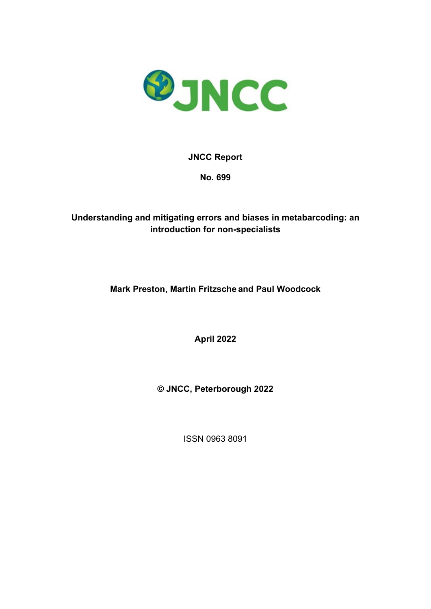

### **JNCC Report**

**No. 699**

### **Understanding and mitigating errors and biases in metabarcoding: an introduction for non-specialists**

**Mark Preston, Martin Fritzsche and Paul Woodcock** 

**April 2022** 

**© JNCC, Peterborough 2022** 

ISSN 0963 8091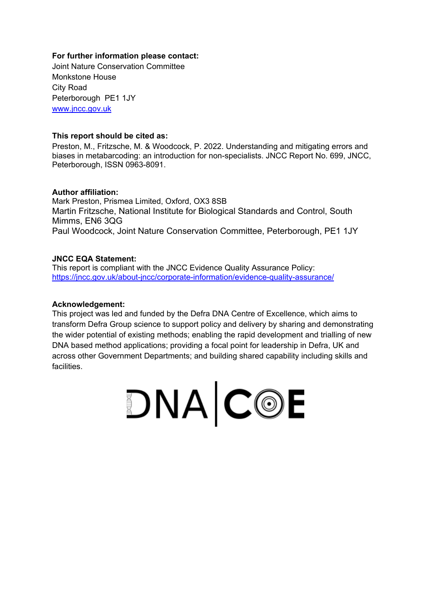### **For further information please contact:**

Joint Nature Conservation Committee Monkstone House City Road Peterborough PE1 1JY [www.jncc.gov.uk](http://www.jncc.gov.uk/)

### **This report should be cited as:**

Preston, M., Fritzsche, M. & Woodcock, P. 2022. Understanding and mitigating errors and biases in metabarcoding: an introduction for non-specialists. JNCC Report No. 699, JNCC, Peterborough, ISSN 0963-8091.

#### **Author affiliation:**

Mark Preston, Prismea Limited, Oxford, OX3 8SB Martin Fritzsche, National Institute for Biological Standards and Control, South Mimms, EN6 3QG Paul Woodcock, Joint Nature Conservation Committee, Peterborough, PE1 1JY

#### **JNCC EQA Statement:**

This report is compliant with the JNCC Evidence Quality Assurance Policy: https://jncc.gov.uk/about-jncc/corporate-information/evidence-quality-assurance/

#### **Acknowledgement:**

This project was led and funded by the Defra DNA Centre of Excellence, which aims to transform Defra Group science to support policy and delivery by sharing and demonstrating the wider potential of existing methods; enabling the rapid development and trialling of new DNA based method applications; providing a focal point for leadership in Defra, UK and across other Government Departments; and building shared capability including skills and facilities.

DNA COE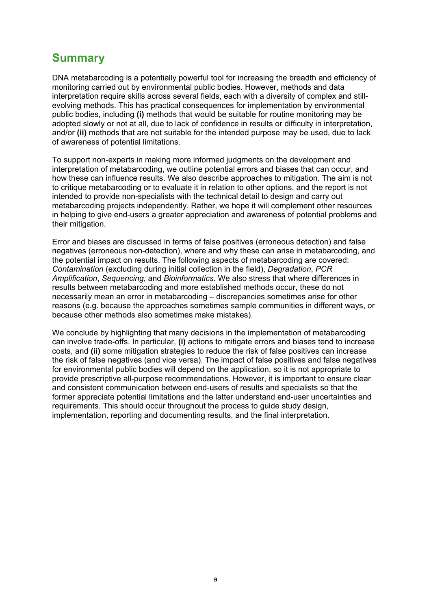# <span id="page-2-0"></span>**Summary**

DNA metabarcoding is a potentially powerful tool for increasing the breadth and efficiency of monitoring carried out by environmental public bodies. However, methods and data interpretation require skills across several fields, each with a diversity of complex and stillevolving methods. This has practical consequences for implementation by environmental public bodies, including **(i)** methods that would be suitable for routine monitoring may be adopted slowly or not at all, due to lack of confidence in results or difficulty in interpretation, and/or **(ii)** methods that are not suitable for the intended purpose may be used, due to lack of awareness of potential limitations.

To support non-experts in making more informed judgments on the development and interpretation of metabarcoding, we outline potential errors and biases that can occur, and how these can influence results. We also describe approaches to mitigation. The aim is not to critique metabarcoding or to evaluate it in relation to other options, and the report is not intended to provide non-specialists with the technical detail to design and carry out metabarcoding projects independently. Rather, we hope it will complement other resources in helping to give end-users a greater appreciation and awareness of potential problems and their mitigation.

Error and biases are discussed in terms of false positives (erroneous detection) and false negatives (erroneous non-detection), where and why these can arise in metabarcoding, and the potential impact on results. The following aspects of metabarcoding are covered: *Contamination* (excluding during initial collection in the field), *Degradation*, *PCR Amplification*, *Sequencing*, and *Bioinformatics*. We also stress that where differences in results between metabarcoding and more established methods occur, these do not necessarily mean an error in metabarcoding – discrepancies sometimes arise for other reasons (e.g. because the approaches sometimes sample communities in different ways, or because other methods also sometimes make mistakes).

We conclude by highlighting that many decisions in the implementation of metabarcoding can involve trade-offs. In particular, **(i)** actions to mitigate errors and biases tend to increase costs, and **(ii)** some mitigation strategies to reduce the risk of false positives can increase the risk of false negatives (and vice versa). The impact of false positives and false negatives for environmental public bodies will depend on the application, so it is not appropriate to provide prescriptive all-purpose recommendations. However, it is important to ensure clear and consistent communication between end-users of results and specialists so that the former appreciate potential limitations and the latter understand end-user uncertainties and requirements. This should occur throughout the process to guide study design, implementation, reporting and documenting results, and the final interpretation.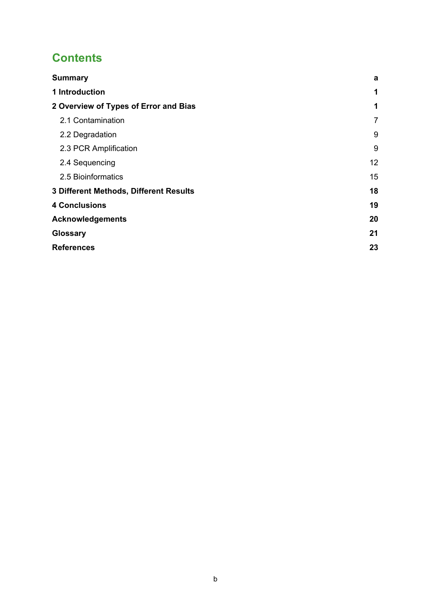# **Contents**

| <b>Summary</b>                         | a              |
|----------------------------------------|----------------|
| 1 Introduction                         | 1              |
| 2 Overview of Types of Error and Bias  | 1              |
| 2.1 Contamination                      | $\overline{7}$ |
| 2.2 Degradation                        | 9              |
| 2.3 PCR Amplification                  | 9              |
| 2.4 Sequencing                         | 12             |
| 2.5 Bioinformatics                     | 15             |
| 3 Different Methods, Different Results | 18             |
| <b>4 Conclusions</b>                   | 19             |
| <b>Acknowledgements</b>                | 20             |
| Glossary                               | 21             |
| <b>References</b>                      | 23             |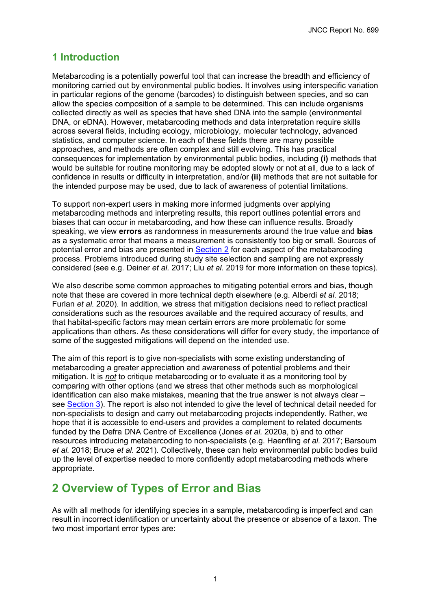### <span id="page-4-0"></span>**1 Introduction**

Metabarcoding is a potentially powerful tool that can increase the breadth and efficiency of monitoring carried out by environmental public bodies. It involves using interspecific variation in particular regions of the genome (barcodes) to distinguish between species, and so can allow the species composition of a sample to be determined. This can include organisms collected directly as well as species that have shed DNA into the sample (environmental DNA, or eDNA). However, metabarcoding methods and data interpretation require skills across several fields, including ecology, microbiology, molecular technology, advanced statistics, and computer science. In each of these fields there are many possible approaches, and methods are often complex and still evolving. This has practical consequences for implementation by environmental public bodies, including **(i)** methods that would be suitable for routine monitoring may be adopted slowly or not at all, due to a lack of confidence in results or difficulty in interpretation, and/or **(ii)** methods that are not suitable for the intended purpose may be used, due to lack of awareness of potential limitations.

To support non-expert users in making more informed judgments over applying metabarcoding methods and interpreting results, this report outlines potential errors and biases that can occur in metabarcoding, and how these can influence results. Broadly speaking, we view **errors** as randomness in measurements around the true value and **bias** as a systematic error that means a measurement is consistently too big or small. Sources of potential error and bias are presented in [Section 2](#page-4-1) for each aspect of the metabarcoding process. Problems introduced during study site selection and sampling are not expressly considered (see e.g. Deiner *et al.* 2017; Liu *et al.* 2019 for more information on these topics).

We also describe some common approaches to mitigating potential errors and bias, though note that these are covered in more technical depth elsewhere (e.g. Alberdi *et al.* 2018; Furlan *et al.* 2020). In addition, we stress that mitigation decisions need to reflect practical considerations such as the resources available and the required accuracy of results, and that habitat-specific factors may mean certain errors are more problematic for some applications than others. As these considerations will differ for every study, the importance of some of the suggested mitigations will depend on the intended use.

The aim of this report is to give non-specialists with some existing understanding of metabarcoding a greater appreciation and awareness of potential problems and their mitigation. It is *not* to critique metabarcoding or to evaluate it as a monitoring tool by comparing with other options (and we stress that other methods such as morphological identification can also make mistakes, meaning that the true answer is not always clear – see [Section 3\)](#page-21-0). The report is also not intended to give the level of technical detail needed for non-specialists to design and carry out metabarcoding projects independently. Rather, we hope that it is accessible to end-users and provides a complement to related documents funded by the Defra DNA Centre of Excellence (Jones *et al.* 2020a, b) and to other resources introducing metabarcoding to non-specialists (e.g. Haenfling *et al.* 2017; Barsoum *et al.* 2018; Bruce *et al.* 2021). Collectively, these can help environmental public bodies build up the level of expertise needed to more confidently adopt metabarcoding methods where appropriate.

# <span id="page-4-1"></span>**2 Overview of Types of Error and Bias**

As with all methods for identifying species in a sample, metabarcoding is imperfect and can result in incorrect identification or uncertainty about the presence or absence of a taxon. The two most important error types are: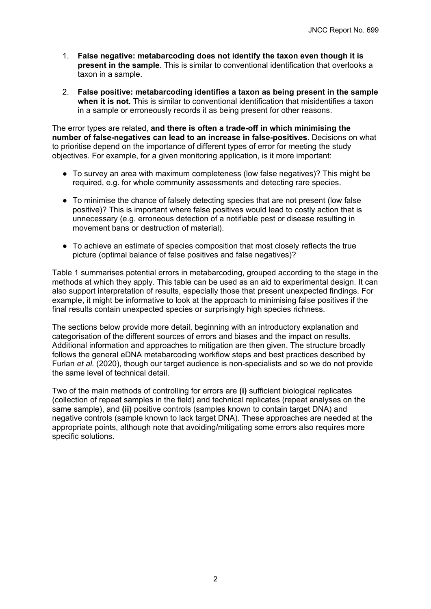- 1. **False negative: metabarcoding does not identify the taxon even though it is present in the sample**. This is similar to conventional identification that overlooks a taxon in a sample.
- 2. **False positive: metabarcoding identifies a taxon as being present in the sample when it is not.** This is similar to conventional identification that misidentifies a taxon in a sample or erroneously records it as being present for other reasons.

The error types are related, **and there is often a trade-off in which minimising the number of false-negatives can lead to an increase in false-positives**. Decisions on what to prioritise depend on the importance of different types of error for meeting the study objectives. For example, for a given monitoring application, is it more important:

- To survey an area with maximum completeness (low false negatives)? This might be required, e.g. for whole community assessments and detecting rare species.
- To minimise the chance of falsely detecting species that are not present (low false positive)? This is important where false positives would lead to costly action that is unnecessary (e.g. erroneous detection of a notifiable pest or disease resulting in movement bans or destruction of material).
- To achieve an estimate of species composition that most closely reflects the true picture (optimal balance of false positives and false negatives)?

Table 1 summarises potential errors in metabarcoding, grouped according to the stage in the methods at which they apply. This table can be used as an aid to experimental design. It can also support interpretation of results, especially those that present unexpected findings. For example, it might be informative to look at the approach to minimising false positives if the final results contain unexpected species or surprisingly high species richness.

The sections below provide more detail, beginning with an introductory explanation and categorisation of the different sources of errors and biases and the impact on results. Additional information and approaches to mitigation are then given. The structure broadly follows the general eDNA metabarcoding workflow steps and best practices described by Furlan *et al.* (2020), though our target audience is non-specialists and so we do not provide the same level of technical detail.

Two of the main methods of controlling for errors are **(i)** sufficient biological replicates (collection of repeat samples in the field) and technical replicates (repeat analyses on the same sample), and **(ii)** positive controls (samples known to contain target DNA) and negative controls (sample known to lack target DNA). These approaches are needed at the appropriate points, although note that avoiding/mitigating some errors also requires more specific solutions.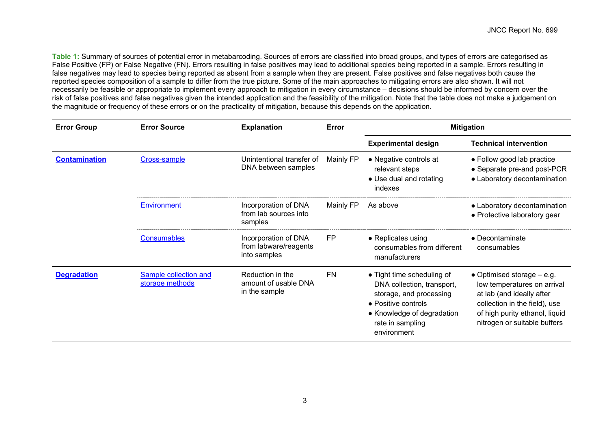**Table 1:** Summary of sources of potential error in metabarcoding. Sources of errors are classified into broad groups, and types of errors are categorised as False Positive (FP) or False Negative (FN). Errors resulting in false positives may lead to additional species being reported in a sample. Errors resulting in false negatives may lead to species being reported as absent from a sample when they are present. False positives and false negatives both cause the reported species composition of a sample to differ from the true picture. Some of the main approaches to mitigating errors are also shown. It will not necessarily be feasible or appropriate to implement every approach to mitigation in every circumstance – decisions should be informed by concern over the risk of false positives and false negatives given the intended application and the feasibility of the mitigation. Note that the table does not make a judgement on the magnitude or frequency of these errors or on the practicality of mitigation, because this depends on the application.

<span id="page-6-1"></span><span id="page-6-0"></span>

| <b>Error Group</b>   | <b>Error Source</b>                      | <b>Explanation</b>                                            | Error     | <b>Mitigation</b>                                                                                                                                                           |                                                                                                                                                                                             |
|----------------------|------------------------------------------|---------------------------------------------------------------|-----------|-----------------------------------------------------------------------------------------------------------------------------------------------------------------------------|---------------------------------------------------------------------------------------------------------------------------------------------------------------------------------------------|
|                      |                                          |                                                               |           | <b>Experimental design</b>                                                                                                                                                  | <b>Technical intervention</b>                                                                                                                                                               |
| <b>Contamination</b> | Cross-sample                             | Unintentional transfer of<br>DNA between samples              | Mainly FP | • Negative controls at<br>relevant steps<br>• Use dual and rotating<br>indexes                                                                                              | • Follow good lab practice<br>• Separate pre-and post-PCR<br>• Laboratory decontamination                                                                                                   |
|                      | Environment                              | Incorporation of DNA<br>from lab sources into<br>samples      | Mainly FP | As above                                                                                                                                                                    | • Laboratory decontamination<br>• Protective laboratory gear                                                                                                                                |
|                      | <b>Consumables</b>                       | Incorporation of DNA<br>from labware/reagents<br>into samples | <b>FP</b> | • Replicates using<br>consumables from different<br>manufacturers                                                                                                           | $\bullet$ Decontaminate<br>consumables                                                                                                                                                      |
| <b>Degradation</b>   | Sample collection and<br>storage methods | Reduction in the<br>amount of usable DNA<br>in the sample     | <b>FN</b> | • Tight time scheduling of<br>DNA collection, transport,<br>storage, and processing<br>• Positive controls<br>• Knowledge of degradation<br>rate in sampling<br>environment | • Optimised storage $-$ e.g.<br>low temperatures on arrival<br>at lab (and ideally after<br>collection in the field), use<br>of high purity ethanol, liquid<br>nitrogen or suitable buffers |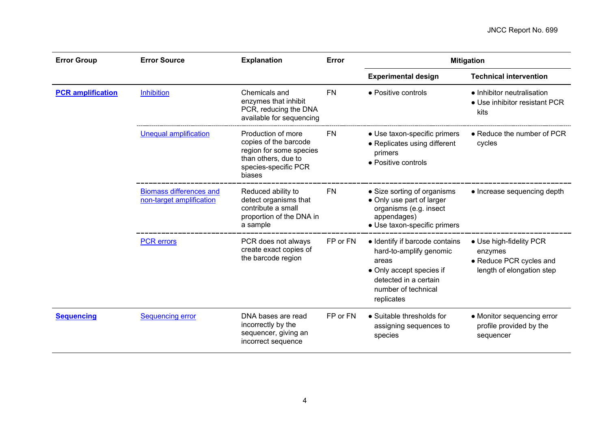<span id="page-7-1"></span><span id="page-7-0"></span>

| <b>Error Group</b>       | <b>Error Source</b>                                        | <b>Explanation</b>                                                                                                              | Error     | <b>Mitigation</b>                                                                                                                                            |                                                                                            |  |
|--------------------------|------------------------------------------------------------|---------------------------------------------------------------------------------------------------------------------------------|-----------|--------------------------------------------------------------------------------------------------------------------------------------------------------------|--------------------------------------------------------------------------------------------|--|
|                          |                                                            |                                                                                                                                 |           | <b>Experimental design</b>                                                                                                                                   | <b>Technical intervention</b>                                                              |  |
| <b>PCR</b> amplification | <b>Inhibition</b>                                          | Chemicals and<br>enzymes that inhibit<br>PCR, reducing the DNA<br>available for sequencing                                      | <b>FN</b> | • Positive controls                                                                                                                                          | • Inhibitor neutralisation<br>• Use inhibitor resistant PCR<br>kits                        |  |
|                          | <b>Unequal amplification</b>                               | Production of more<br>copies of the barcode<br>region for some species<br>than others, due to<br>species-specific PCR<br>biases | <b>FN</b> | • Use taxon-specific primers<br>• Replicates using different<br>primers<br>• Positive controls                                                               | • Reduce the number of PCR<br>cycles                                                       |  |
|                          | <b>Biomass differences and</b><br>non-target amplification | Reduced ability to<br>detect organisms that<br>contribute a small<br>proportion of the DNA in<br>a sample                       | <b>FN</b> | • Size sorting of organisms<br>• Only use part of larger<br>organisms (e.g. insect<br>appendages)<br>• Use taxon-specific primers                            | • Increase sequencing depth                                                                |  |
|                          | <b>PCR</b> errors                                          | PCR does not always<br>create exact copies of<br>the barcode region                                                             | FP or FN  | • Identify if barcode contains<br>hard-to-amplify genomic<br>areas<br>• Only accept species if<br>detected in a certain<br>number of technical<br>replicates | • Use high-fidelity PCR<br>enzymes<br>• Reduce PCR cycles and<br>length of elongation step |  |
| <b>Sequencing</b>        | <b>Sequencing error</b>                                    | DNA bases are read<br>incorrectly by the<br>sequencer, giving an<br>incorrect sequence                                          | FP or FN  | • Suitable thresholds for<br>assigning sequences to<br>species                                                                                               | • Monitor sequencing error<br>profile provided by the<br>sequencer                         |  |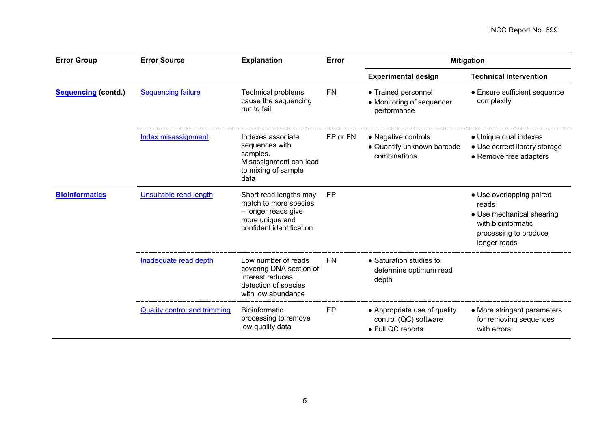<span id="page-8-0"></span>

| <b>Error Group</b>         | <b>Error Source</b>                 | <b>Explanation</b>                                                                                                    | Error     |                                                                            | <b>Mitigation</b>                                                                                                             |
|----------------------------|-------------------------------------|-----------------------------------------------------------------------------------------------------------------------|-----------|----------------------------------------------------------------------------|-------------------------------------------------------------------------------------------------------------------------------|
|                            |                                     |                                                                                                                       |           | <b>Experimental design</b>                                                 | <b>Technical intervention</b>                                                                                                 |
| <b>Sequencing (contd.)</b> | <b>Sequencing failure</b>           | <b>Technical problems</b><br>cause the sequencing<br>run to fail                                                      | <b>FN</b> | • Trained personnel<br>• Monitoring of sequencer<br>performance            | • Ensure sufficient sequence<br>complexity                                                                                    |
|                            | Index misassignment                 | Indexes associate<br>sequences with<br>samples.<br>Misassignment can lead<br>to mixing of sample<br>data              | FP or FN  | • Negative controls<br>• Quantify unknown barcode<br>combinations          | • Unique dual indexes<br>• Use correct library storage<br>• Remove free adapters                                              |
| <b>Bioinformatics</b>      | Unsuitable read length              | Short read lengths may<br>match to more species<br>- longer reads give<br>more unique and<br>confident identification | <b>FP</b> |                                                                            | • Use overlapping paired<br>reads<br>• Use mechanical shearing<br>with bioinformatic<br>processing to produce<br>longer reads |
|                            | Inadequate read depth               | Low number of reads<br>covering DNA section of<br>interest reduces<br>detection of species<br>with low abundance      | <b>FN</b> | • Saturation studies to<br>determine optimum read<br>depth                 |                                                                                                                               |
|                            | <b>Quality control and trimming</b> | <b>Bioinformatic</b><br>processing to remove<br>low quality data                                                      | <b>FP</b> | • Appropriate use of quality<br>control (QC) software<br>• Full QC reports | • More stringent parameters<br>for removing sequences<br>with errors                                                          |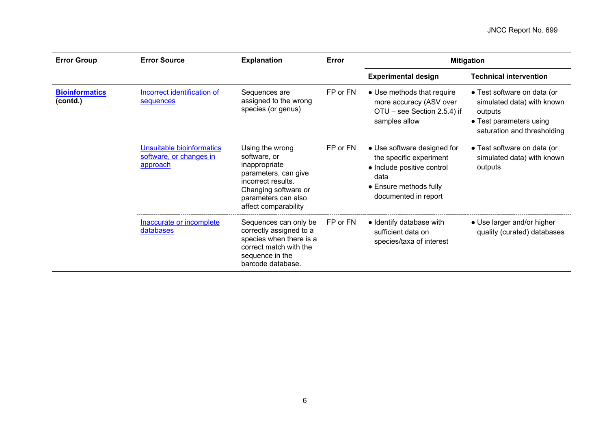| <b>Error Group</b>                | <b>Error Source</b>                                              | <b>Explanation</b>                                                                                                                                                    | Error    | <b>Mitigation</b>                                                                                                                              |                                                                                                                                |
|-----------------------------------|------------------------------------------------------------------|-----------------------------------------------------------------------------------------------------------------------------------------------------------------------|----------|------------------------------------------------------------------------------------------------------------------------------------------------|--------------------------------------------------------------------------------------------------------------------------------|
|                                   |                                                                  |                                                                                                                                                                       |          | <b>Experimental design</b>                                                                                                                     | <b>Technical intervention</b>                                                                                                  |
| <b>Bioinformatics</b><br>(contd.) | Incorrect identification of<br>sequences                         | Sequences are<br>assigned to the wrong<br>species (or genus)                                                                                                          | FP or FN | • Use methods that require<br>more accuracy (ASV over<br>OTU – see Section 2.5.4) if<br>samples allow                                          | • Test software on data (or<br>simulated data) with known<br>outputs<br>• Test parameters using<br>saturation and thresholding |
|                                   | Unsuitable bioinformatics<br>software, or changes in<br>approach | Using the wrong<br>software, or<br>inappropriate<br>parameters, can give<br>incorrect results.<br>Changing software or<br>parameters can also<br>affect comparability | FP or FN | • Use software designed for<br>the specific experiment<br>• Include positive control<br>data<br>• Ensure methods fully<br>documented in report | • Test software on data (or<br>simulated data) with known<br>outputs                                                           |
|                                   | Inaccurate or incomplete<br>databases                            | Sequences can only be<br>correctly assigned to a<br>species when there is a<br>correct match with the<br>sequence in the<br>barcode database.                         | FP or FN | • Identify database with<br>sufficient data on<br>species/taxa of interest                                                                     | • Use larger and/or higher<br>quality (curated) databases                                                                      |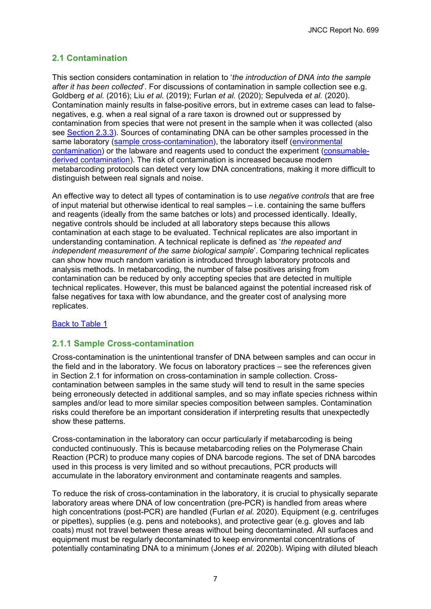### <span id="page-10-1"></span><span id="page-10-0"></span>**2.1 Contamination**

This section considers contamination in relation to '*the introduction of DNA into the sample after it has been collected*'. For discussions of contamination in sample collection see e.g. Goldberg *et al.* (2016); Liu *et al.* (2019); Furlan *et al.* (2020); Sepulveda *et al.* (2020). Contamination mainly results in false-positive errors, but in extreme cases can lead to falsenegatives, e.g. when a real signal of a rare taxon is drowned out or suppressed by contamination from species that were not present in the sample when it was collected (also see [Section 2.3.3\)](#page-14-1). Sources of contaminating DNA can be other samples processed in the same laboratory [\(sample cross-contamination\)](#page-10-3), the laboratory itself (environmental [contamination\)](#page-11-2) or the labware and reagents used to conduct the experiment [\(consumable](#page-11-3)[derived contamination\)](#page-11-3). The risk of contamination is increased because modern metabarcoding protocols can detect very low DNA concentrations, making it more difficult to distinguish between real signals and noise.

<span id="page-10-2"></span>An effective way to detect all types of contamination is to use *negative controls* that are free of input material but otherwise identical to real samples – i.e. containing the same buffers and reagents (ideally from the same batches or lots) and processed identically. Ideally, negative controls should be included at all laboratory steps because this allows contamination at each stage to be evaluated. Technical replicates are also important in understanding contamination. A technical replicate is defined as '*the repeated and independent measurement of the same biological sample*'. Comparing technical replicates can show how much random variation is introduced through laboratory protocols and analysis methods. In metabarcoding, the number of false positives arising from contamination can be reduced by only accepting species that are detected in multiple technical replicates. However, this must be balanced against the potential increased risk of false negatives for taxa with low abundance, and the greater cost of analysing more replicates.

### [Back to Table 1](#page-6-0)

### <span id="page-10-3"></span>**2.1.1 Sample Cross-contamination**

Cross-contamination is the unintentional transfer of DNA between samples and can occur in the field and in the laboratory. We focus on laboratory practices – see the references given in Section 2.1 for information on cross-contamination in sample collection. Crosscontamination between samples in the same study will tend to result in the same species being erroneously detected in additional samples, and so may inflate species richness within samples and/or lead to more similar species composition between samples. Contamination risks could therefore be an important consideration if interpreting results that unexpectedly show these patterns.

Cross-contamination in the laboratory can occur particularly if metabarcoding is being conducted continuously. This is because metabarcoding relies on the Polymerase Chain Reaction (PCR) to produce many copies of DNA barcode regions. The set of DNA barcodes used in this process is very limited and so without precautions, PCR products will accumulate in the laboratory environment and contaminate reagents and samples.

To reduce the risk of cross-contamination in the laboratory, it is crucial to physically separate laboratory areas where DNA of low concentration (pre-PCR) is handled from areas where high concentrations (post-PCR) are handled (Furlan *et al.* 2020). Equipment (e.g. centrifuges or pipettes), supplies (e.g. pens and notebooks), and protective gear (e.g. gloves and lab coats) must not travel between these areas without being decontaminated. All surfaces and equipment must be regularly decontaminated to keep environmental concentrations of potentially contaminating DNA to a minimum (Jones *et al.* 2020b). Wiping with diluted bleach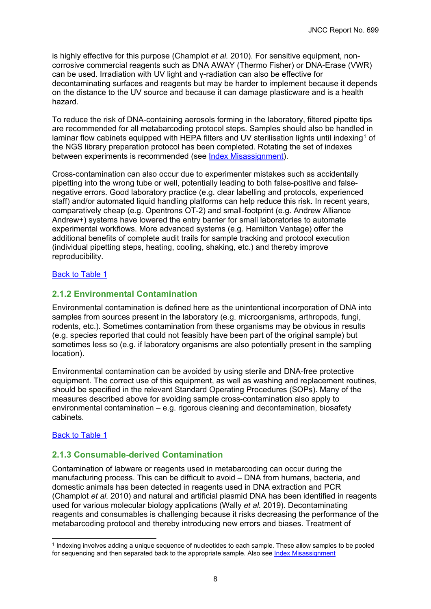is highly effective for this purpose (Champlot *et al.* 2010). For sensitive equipment, noncorrosive commercial reagents such as DNA AWAY (Thermo Fisher) or DNA-Erase (VWR) can be used. Irradiation with UV light and γ-radiation can also be effective for decontaminating surfaces and reagents but may be harder to implement because it depends on the distance to the UV source and because it can damage plasticware and is a health hazard.

<span id="page-11-0"></span>To reduce the risk of DNA-containing aerosols forming in the laboratory, filtered pipette tips are recommended for all metabarcoding protocol steps. Samples should also be handled in laminar flow cabinets equipped with HEPA filters and UV sterilisation lights until indexing<sup>[1](#page-11-4)</sup> of the NGS library preparation protocol has been completed. Rotating the set of indexes between experiments is recommended (see [Index Misassignment\)](#page-17-2).

Cross-contamination can also occur due to experimenter mistakes such as accidentally pipetting into the wrong tube or well, potentially leading to both false-positive and falsenegative errors. Good laboratory practice (e.g. clear labelling and protocols, experienced staff) and/or automated liquid handling platforms can help reduce this risk. In recent years, comparatively cheap (e.g. Opentrons OT-2) and small-footprint (e.g. Andrew Alliance Andrew+) systems have lowered the entry barrier for small laboratories to automate experimental workflows. More advanced systems (e.g. Hamilton Vantage) offer the additional benefits of complete audit trails for sample tracking and protocol execution (individual pipetting steps, heating, cooling, shaking, etc.) and thereby improve reproducibility.

### <span id="page-11-1"></span>[Back to Table 1](#page-6-0)

### <span id="page-11-2"></span>**2.1.2 Environmental Contamination**

Environmental contamination is defined here as the unintentional incorporation of DNA into samples from sources present in the laboratory (e.g. microorganisms, arthropods, fungi, rodents, etc.). Sometimes contamination from these organisms may be obvious in results (e.g. species reported that could not feasibly have been part of the original sample) but sometimes less so (e.g. if laboratory organisms are also potentially present in the sampling location).

Environmental contamination can be avoided by using sterile and DNA-free protective equipment. The correct use of this equipment, as well as washing and replacement routines, should be specified in the relevant Standard Operating Procedures (SOPs). Many of the measures described above for avoiding sample cross-contamination also apply to environmental contamination – e.g. rigorous cleaning and decontamination, biosafety cabinets.

### [Back to Table 1](#page-6-0)

### <span id="page-11-3"></span>**2.1.3 Consumable-derived Contamination**

Contamination of labware or reagents used in metabarcoding can occur during the manufacturing process. This can be difficult to avoid – DNA from humans, bacteria, and domestic animals has been detected in reagents used in DNA extraction and PCR (Champlot *et al.* 2010) and natural and artificial plasmid DNA has been identified in reagents used for various molecular biology applications (Wally *et al.* 2019). Decontaminating reagents and consumables is challenging because it risks decreasing the performance of the metabarcoding protocol and thereby introducing new errors and biases. Treatment of

<span id="page-11-4"></span><sup>1</sup> Indexing involves adding a unique sequence of nucleotides to each sample. These allow samples to be pooled for sequencing and then separated back to the appropriate sample. Also see [Index Misassignment](#page-17-2)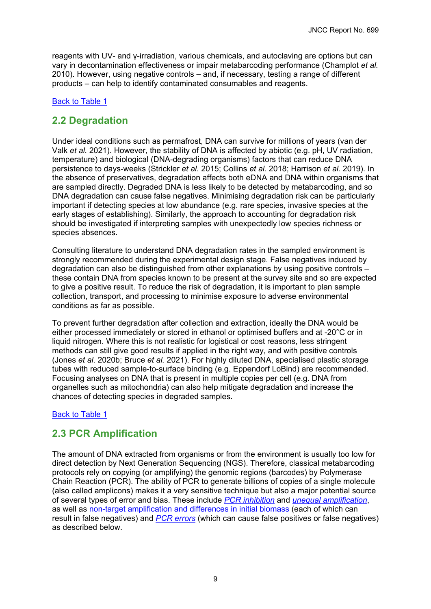<span id="page-12-2"></span>reagents with UV- and γ-irradiation, various chemicals, and autoclaving are options but can vary in decontamination effectiveness or impair metabarcoding performance (Champlot *et al.* 2010). However, using negative controls – and, if necessary, testing a range of different products – can help to identify contaminated consumables and reagents.

### [Back to Table 1](#page-6-0)

### <span id="page-12-0"></span>**2.2 Degradation**

Under ideal conditions such as permafrost, DNA can survive for millions of years (van der Valk *et al.* 2021). However, the stability of DNA is affected by abiotic (e.g. pH, UV radiation, temperature) and biological (DNA-degrading organisms) factors that can reduce DNA persistence to days-weeks (Strickler *et al.* 2015; Collins *et al.* 2018; Harrison *et al.* 2019). In the absence of preservatives, degradation affects both eDNA and DNA within organisms that are sampled directly. Degraded DNA is less likely to be detected by metabarcoding, and so DNA degradation can cause false negatives. Minimising degradation risk can be particularly important if detecting species at low abundance (e.g. rare species, invasive species at the early stages of establishing). Similarly, the approach to accounting for degradation risk should be investigated if interpreting samples with unexpectedly low species richness or species absences.

<span id="page-12-3"></span>Consulting literature to understand DNA degradation rates in the sampled environment is strongly recommended during the experimental design stage. False negatives induced by degradation can also be distinguished from other explanations by using positive controls – these contain DNA from species known to be present at the survey site and so are expected to give a positive result. To reduce the risk of degradation, it is important to plan sample collection, transport, and processing to minimise exposure to adverse environmental conditions as far as possible.

To prevent further degradation after collection and extraction, ideally the DNA would be either processed immediately or stored in ethanol or optimised buffers and at -20°C or in liquid nitrogen. Where this is not realistic for logistical or cost reasons, less stringent methods can still give good results if applied in the right way, and with positive controls (Jones *et al.* 2020b; Bruce *et al.* 2021). For highly diluted DNA, specialised plastic storage tubes with reduced sample-to-surface binding (e.g. Eppendorf LoBind) are recommended. Focusing analyses on DNA that is present in multiple copies per cell (e.g. DNA from organelles such as mitochondria) can also help mitigate degradation and increase the chances of detecting species in degraded samples.

### [Back to Table 1](#page-6-1)

### <span id="page-12-1"></span>**2.3 PCR Amplification**

The amount of DNA extracted from organisms or from the environment is usually too low for direct detection by Next Generation Sequencing (NGS). Therefore, classical metabarcoding protocols rely on copying (or amplifying) the genomic regions (barcodes) by Polymerase Chain Reaction (PCR). The ability of PCR to generate billions of copies of a single molecule (also called amplicons) makes it a very sensitive technique but also a major potential source of several types of error and bias. These include *[PCR inhibition](#page-13-2)* and *[unequal amplification](#page-13-3)*, as well as [non-target amplification and differences in initial biomass](#page-14-1) (each of which can result in false negatives) and *PCR errors* (which can cause false positives or false negatives) as described below.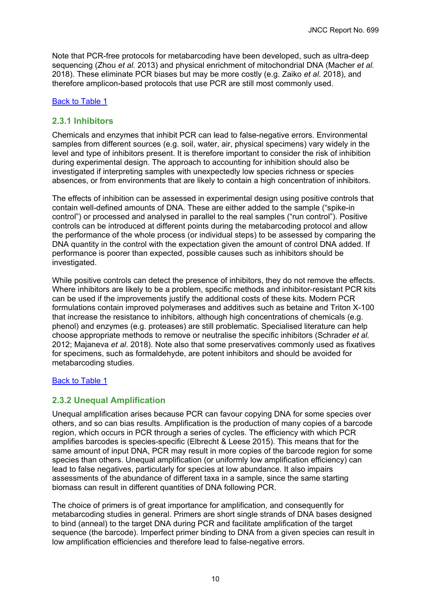<span id="page-13-0"></span>Note that PCR-free protocols for metabarcoding have been developed, such as ultra-deep sequencing (Zhou *et al.* 2013) and physical enrichment of mitochondrial DNA (Macher *et al.* 2018). These eliminate PCR biases but may be more costly (e.g. Zaiko *et al.* 2018), and therefore amplicon-based protocols that use PCR are still most commonly used.

### [Back to Table 1](#page-7-0)

### <span id="page-13-2"></span>**2.3.1 Inhibitors**

Chemicals and enzymes that inhibit PCR can lead to false-negative errors. Environmental samples from different sources (e.g. soil, water, air, physical specimens) vary widely in the level and type of inhibitors present. It is therefore important to consider the risk of inhibition during experimental design. The approach to accounting for inhibition should also be investigated if interpreting samples with unexpectedly low species richness or species absences, or from environments that are likely to contain a high concentration of inhibitors.

<span id="page-13-1"></span>The effects of inhibition can be assessed in experimental design using positive controls that contain well-defined amounts of DNA. These are either added to the sample ("spike-in control") or processed and analysed in parallel to the real samples ("run control"). Positive controls can be introduced at different points during the metabarcoding protocol and allow the performance of the whole process (or individual steps) to be assessed by comparing the DNA quantity in the control with the expectation given the amount of control DNA added. If performance is poorer than expected, possible causes such as inhibitors should be investigated.

While positive controls can detect the presence of inhibitors, they do not remove the effects. Where inhibitors are likely to be a problem, specific methods and inhibitor-resistant PCR kits can be used if the improvements justify the additional costs of these kits. Modern PCR formulations contain improved polymerases and additives such as betaine and Triton X-100 that increase the resistance to inhibitors, although high concentrations of chemicals (e.g. phenol) and enzymes (e.g. proteases) are still problematic. Specialised literature can help choose appropriate methods to remove or neutralise the specific inhibitors (Schrader *et al.* 2012; Majaneva *et al.* 2018). Note also that some preservatives commonly used as fixatives for specimens, such as formaldehyde, are potent inhibitors and should be avoided for metabarcoding studies.

### [Back to Table 1](#page-7-0)

### <span id="page-13-3"></span>**2.3.2 Unequal Amplification**

Unequal amplification arises because PCR can favour copying DNA for some species over others, and so can bias results. Amplification is the production of many copies of a barcode region, which occurs in PCR through a series of cycles. The efficiency with which PCR amplifies barcodes is species-specific (Elbrecht & Leese 2015). This means that for the same amount of input DNA, PCR may result in more copies of the barcode region for some species than others. Unequal amplification (or uniformly low amplification efficiency) can lead to false negatives, particularly for species at low abundance. It also impairs assessments of the abundance of different taxa in a sample, since the same starting biomass can result in different quantities of DNA following PCR.

The choice of primers is of great importance for amplification, and consequently for metabarcoding studies in general. Primers are short single strands of DNA bases designed to bind (anneal) to the target DNA during PCR and facilitate amplification of the target sequence (the barcode). Imperfect primer binding to DNA from a given species can result in low amplification efficiencies and therefore lead to false-negative errors.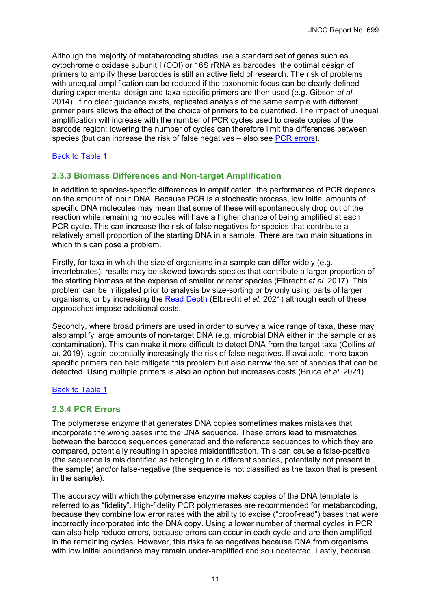<span id="page-14-0"></span>Although the majority of metabarcoding studies use a standard set of genes such as cytochrome c oxidase subunit I (COI) or 16S rRNA as barcodes, the optimal design of primers to amplify these barcodes is still an active field of research. The risk of problems with unequal amplification can be reduced if the taxonomic focus can be clearly defined during experimental design and taxa-specific primers are then used (e.g. Gibson *et al.* 2014). If no clear guidance exists, replicated analysis of the same sample with different primer pairs allows the effect of the choice of primers to be quantified. The impact of unequal amplification will increase with the number of PCR cycles used to create copies of the barcode region: lowering the number of cycles can therefore limit the differences between species (but can increase the risk of false negatives – also see PCR errors).

### [Back to Table 1](#page-7-0)

### <span id="page-14-1"></span>**2.3.3 Biomass Differences and Non-target Amplification**

In addition to species-specific differences in amplification, the performance of PCR depends on the amount of input DNA. Because PCR is a stochastic process, low initial amounts of specific DNA molecules may mean that some of these will spontaneously drop out of the reaction while remaining molecules will have a higher chance of being amplified at each PCR cycle. This can increase the risk of false negatives for species that contribute a relatively small proportion of the starting DNA in a sample. There are two main situations in which this can pose a problem.

Firstly, for taxa in which the size of organisms in a sample can differ widely (e.g. invertebrates), results may be skewed towards species that contribute a larger proportion of the starting biomass at the expense of smaller or rarer species (Elbrecht *et al.* 2017). This problem can be mitigated prior to analysis by size-sorting or by only using parts of larger organisms, or by increasing the [Read Depth](#page-19-2) (Elbrecht *et al.* 2021) although each of these approaches impose additional costs.

Secondly, where broad primers are used in order to survey a wide range of taxa, these may also amplify large amounts of non-target DNA (e.g. microbial DNA either in the sample or as contamination). This can make it more difficult to detect DNA from the target taxa (Collins *et al.* 2019), again potentially increasingly the risk of false negatives. If available, more taxonspecific primers can help mitigate this problem but also narrow the set of species that can be detected. Using multiple primers is also an option but increases costs (Bruce *et al.* 2021).

### [Back to Table 1](#page-7-0)

### **2.3.4 PCR Errors**

The polymerase enzyme that generates DNA copies sometimes makes mistakes that incorporate the wrong bases into the DNA sequence. These errors lead to mismatches between the barcode sequences generated and the reference sequences to which they are compared, potentially resulting in species misidentification. This can cause a false-positive (the sequence is misidentified as belonging to a different species, potentially not present in the sample) and/or false-negative (the sequence is not classified as the taxon that is present in the sample).

The accuracy with which the polymerase enzyme makes copies of the DNA template is referred to as "fidelity". High-fidelity PCR polymerases are recommended for metabarcoding, because they combine low error rates with the ability to excise ("proof-read") bases that were incorrectly incorporated into the DNA copy. Using a lower number of thermal cycles in PCR can also help reduce errors, because errors can occur in each cycle and are then amplified in the remaining cycles. However, this risks false negatives because DNA from organisms with low initial abundance may remain under-amplified and so undetected. Lastly, because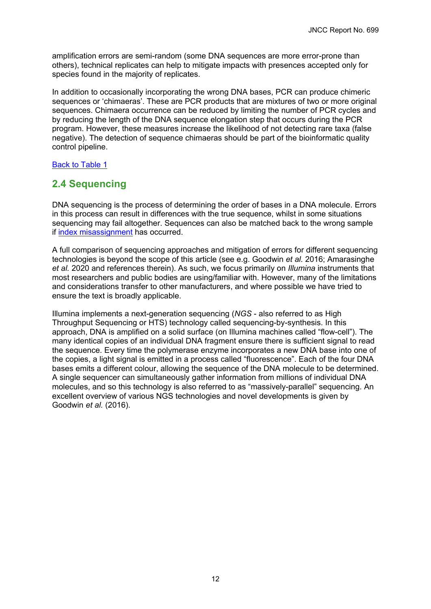<span id="page-15-1"></span>amplification errors are semi-random (some DNA sequences are more error-prone than others), technical replicates can help to mitigate impacts with presences accepted only for species found in the majority of replicates.

In addition to occasionally incorporating the wrong DNA bases, PCR can produce chimeric sequences or 'chimaeras'. These are PCR products that are mixtures of two or more original sequences. Chimaera occurrence can be reduced by limiting the number of PCR cycles and by reducing the length of the DNA sequence elongation step that occurs during the PCR program. However, these measures increase the likelihood of not detecting rare taxa (false negative). The detection of sequence chimaeras should be part of the bioinformatic quality control pipeline.

[Back to Table 1](#page-7-0)

### <span id="page-15-0"></span>**2.4 Sequencing**

DNA sequencing is the process of determining the order of bases in a DNA molecule. Errors in this process can result in differences with the true sequence, whilst in some situations sequencing may fail altogether. Sequences can also be matched back to the wrong sample if [index misassignment](#page-17-2) has occurred.

A full comparison of sequencing approaches and mitigation of errors for different sequencing technologies is beyond the scope of this article (see e.g. Goodwin *et al.* 2016; Amarasinghe *et al.* 2020 and references therein). As such, we focus primarily on *Illumina* instruments that most researchers and public bodies are using/familiar with. However, many of the limitations and considerations transfer to other manufacturers, and where possible we have tried to ensure the text is broadly applicable.

Illumina implements a next-generation sequencing (*NGS* - also referred to as High Throughput Sequencing or HTS) technology called sequencing-by-synthesis. In this approach, DNA is amplified on a solid surface (on Illumina machines called "flow-cell"). The many identical copies of an individual DNA fragment ensure there is sufficient signal to read the sequence. Every time the polymerase enzyme incorporates a new DNA base into one of the copies, a light signal is emitted in a process called "fluorescence". Each of the four DNA bases emits a different colour, allowing the sequence of the DNA molecule to be determined. A single sequencer can simultaneously gather information from millions of individual DNA molecules, and so this technology is also referred to as "massively-parallel" sequencing. An excellent overview of various NGS technologies and novel developments is given by Goodwin *et al.* (2016).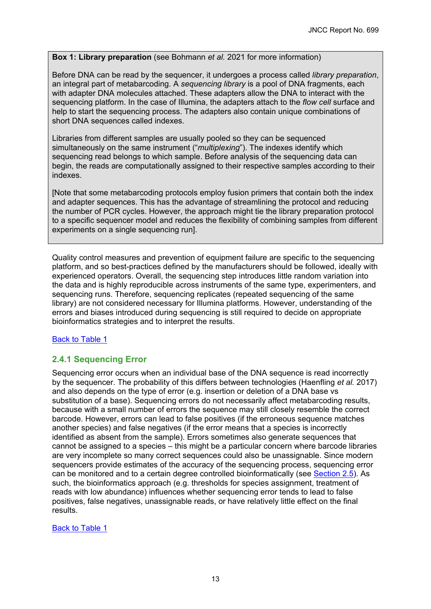### **Box 1: Library preparation** (see Bohmann *et al.* 2021 for more information)

Before DNA can be read by the sequencer, it undergoes a process called *library preparation*, an integral part of metabarcoding. A *sequencing library* is a pool of DNA fragments, each with adapter DNA molecules attached. These adapters allow the DNA to interact with the sequencing platform. In the case of Illumina, the adapters attach to the *flow cell* surface and help to start the sequencing process. The adapters also contain unique combinations of short DNA sequences called indexes.

Libraries from different samples are usually pooled so they can be sequenced simultaneously on the same instrument ("*multiplexing*"). The indexes identify which sequencing read belongs to which sample. Before analysis of the sequencing data can begin, the reads are computationally assigned to their respective samples according to their indexes.

<span id="page-16-0"></span>[Note that some metabarcoding protocols employ fusion primers that contain both the index and adapter sequences. This has the advantage of streamlining the protocol and reducing the number of PCR cycles. However, the approach might tie the library preparation protocol to a specific sequencer model and reduces the flexibility of combining samples from different experiments on a single sequencing run].

Quality control measures and prevention of equipment failure are specific to the sequencing platform, and so best-practices defined by the manufacturers should be followed, ideally with experienced operators. Overall, the sequencing step introduces little random variation into the data and is highly reproducible across instruments of the same type, experimenters, and sequencing runs. Therefore, sequencing replicates (repeated sequencing of the same library) are not considered necessary for Illumina platforms. However, understanding of the errors and biases introduced during sequencing is still required to decide on appropriate bioinformatics strategies and to interpret the results.

### [Back to Table 1](#page-7-1)

### <span id="page-16-1"></span>**2.4.1 Sequencing Error**

Sequencing error occurs when an individual base of the DNA sequence is read incorrectly by the sequencer. The probability of this differs between technologies (Haenfling *et al.* 2017) and also depends on the type of error (e.g. insertion or deletion of a DNA base vs substitution of a base). Sequencing errors do not necessarily affect metabarcoding results, because with a small number of errors the sequence may still closely resemble the correct barcode. However, errors can lead to false positives (if the erroneous sequence matches another species) and false negatives (if the error means that a species is incorrectly identified as absent from the sample). Errors sometimes also generate sequences that cannot be assigned to a species – this might be a particular concern where barcode libraries are very incomplete so many correct sequences could also be unassignable. Since modern sequencers provide estimates of the accuracy of the sequencing process, sequencing error can be monitored and to a certain degree controlled bioinformatically (see [Section 2.5\)](#page-18-0). As such, the bioinformatics approach (e.g. thresholds for species assignment, treatment of reads with low abundance) influences whether sequencing error tends to lead to false positives, false negatives, unassignable reads, or have relatively little effect on the final results.

[Back to Table 1](#page-7-1)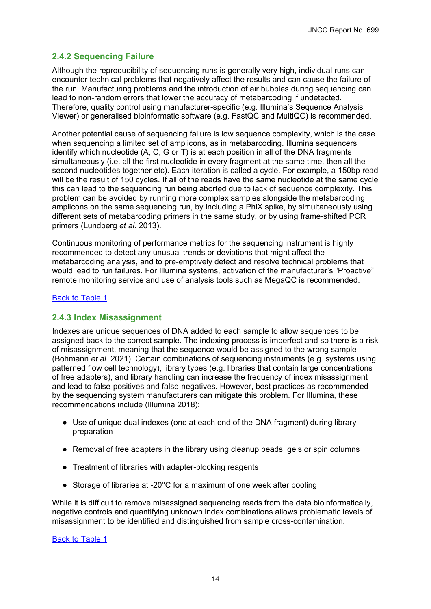### **2.4.2 Sequencing Failure**

Although the reproducibility of sequencing runs is generally very high, individual runs can encounter technical problems that negatively affect the results and can cause the failure of the run. Manufacturing problems and the introduction of air bubbles during sequencing can lead to non-random errors that lower the accuracy of metabarcoding if undetected. Therefore, quality control using manufacturer-specific (e.g. Illumina's Sequence Analysis Viewer) or generalised bioinformatic software (e.g. FastQC and MultiQC) is recommended.

<span id="page-17-0"></span>Another potential cause of sequencing failure is low sequence complexity, which is the case when sequencing a limited set of amplicons, as in metabarcoding. Illumina sequencers identify which nucleotide (A, C, G or T) is at each position in all of the DNA fragments simultaneously (i.e. all the first nucleotide in every fragment at the same time, then all the second nucleotides together etc). Each iteration is called a cycle. For example, a 150bp read will be the result of 150 cycles. If all of the reads have the same nucleotide at the same cycle this can lead to the sequencing run being aborted due to lack of sequence complexity. This problem can be avoided by running more complex samples alongside the metabarcoding amplicons on the same sequencing run, by including a PhiX spike, by simultaneously using different sets of metabarcoding primers in the same study, or by using frame-shifted PCR primers (Lundberg *et al.* 2013).

Continuous monitoring of performance metrics for the sequencing instrument is highly recommended to detect any unusual trends or deviations that might affect the metabarcoding analysis, and to pre-emptively detect and resolve technical problems that would lead to run failures. For Illumina systems, activation of the manufacturer's "Proactive" remote monitoring service and use of analysis tools such as MegaQC is recommended.

### [Back to Table 1](#page-7-1)

### <span id="page-17-2"></span>**2.4.3 Index Misassignment**

<span id="page-17-1"></span>Indexes are unique sequences of DNA added to each sample to allow sequences to be assigned back to the correct sample. The indexing process is imperfect and so there is a risk of misassignment, meaning that the sequence would be assigned to the wrong sample (Bohmann *et al.* 2021). Certain combinations of sequencing instruments (e.g. systems using patterned flow cell technology), library types (e.g. libraries that contain large concentrations of free adapters), and library handling can increase the frequency of index misassignment and lead to false-positives and false-negatives. However, best practices as recommended by the sequencing system manufacturers can mitigate this problem. For Illumina, these recommendations include (Illumina 2018):

- Use of unique dual indexes (one at each end of the DNA fragment) during library preparation
- Removal of free adapters in the library using cleanup beads, gels or spin columns
- Treatment of libraries with adapter-blocking reagents
- Storage of libraries at -20°C for a maximum of one week after pooling

While it is difficult to remove misassigned sequencing reads from the data bioinformatically, negative controls and quantifying unknown index combinations allows problematic levels of misassignment to be identified and distinguished from sample cross-contamination.

[Back to Table 1](#page-7-1)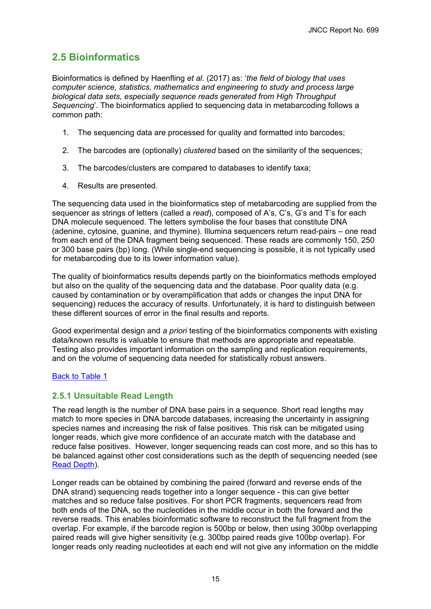### <span id="page-18-2"></span><span id="page-18-0"></span>**2.5 Bioinformatics**

Bioinformatics is defined by Haenfling *et al.* (2017) as: '*the field of biology that uses computer science, statistics, mathematics and engineering to study and process large biological data sets, especially sequence reads generated from High Throughput Sequencing*'. The bioinformatics applied to sequencing data in metabarcoding follows a common path:

- 1. The sequencing data are processed for quality and formatted into barcodes;
- 2. The barcodes are (optionally) *clustered* based on the similarity of the sequences;
- 3. The barcodes/clusters are compared to databases to identify taxa;
- 4. Results are presented.

<span id="page-18-1"></span>The sequencing data used in the bioinformatics step of metabarcoding are supplied from the sequencer as strings of letters (called a *read*), composed of A's, C's, G's and T's for each DNA molecule sequenced. The letters symbolise the four bases that constitute DNA (adenine, cytosine, guanine, and thymine). Illumina sequencers return read-pairs – one read from each end of the DNA fragment being sequenced. These reads are commonly 150, 250 or 300 base pairs (bp) long. (While single-end sequencing is possible, it is not typically used for metabarcoding due to its lower information value).

The quality of bioinformatics results depends partly on the bioinformatics methods employed but also on the quality of the sequencing data and the database. Poor quality data (e.g. caused by contamination or by overamplification that adds or changes the input DNA for sequencing) reduces the accuracy of results. Unfortunately, it is hard to distinguish between these different sources of error in the final results and reports.

Good experimental design and *a priori* testing of the bioinformatics components with existing data/known results is valuable to ensure that methods are appropriate and repeatable. Testing also provides important information on the sampling and replication requirements, and on the volume of sequencing data needed for statistically robust answers.

### [Back to Table 1](#page-8-0)

### **2.5.1 Unsuitable Read Length**

The read length is the number of DNA base pairs in a sequence. Short read lengths mav match to more species in DNA barcode databases, increasing the uncertainty in assigning species names and increasing the risk of false positives. This risk can be mitigated using longer reads, which give more confidence of an accurate match with the database and reduce false positives. However, longer sequencing reads can cost more, and so this has to be balanced against other cost considerations such as the depth of sequencing needed (see [Read Depth\)](#page-19-2).

Longer reads can be obtained by combining the paired (forward and reverse ends of the DNA strand) sequencing reads together into a longer sequence - this can give better matches and so reduce false positives. For short PCR fragments, sequencers read from both ends of the DNA, so the nucleotides in the middle occur in both the forward and the reverse reads. This enables bioinformatic software to reconstruct the full fragment from the overlap. For example, if the barcode region is 500bp or below, then using 300bp overlapping paired reads will give higher sensitivity (e.g. 300bp paired reads give 100bp overlap). For longer reads only reading nucleotides at each end will not give any information on the middle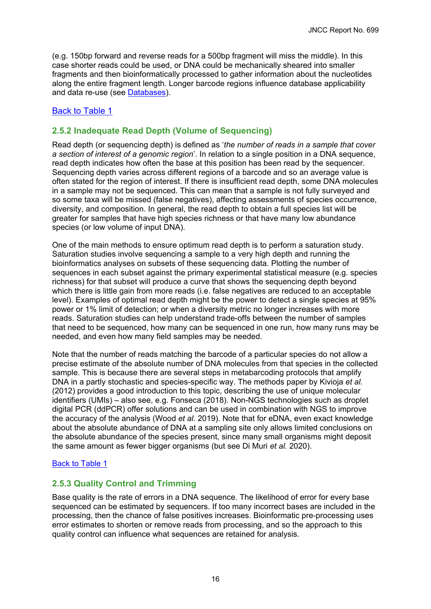<span id="page-19-0"></span>(e.g. 150bp forward and reverse reads for a 500bp fragment will miss the middle). In this case shorter reads could be used, or DNA could be mechanically sheared into smaller fragments and then bioinformatically processed to gather information about the nucleotides along the entire fragment length. Longer barcode regions influence database applicability and data re-use (see Databases).

### [Back to Table 1](#page-8-0)

### <span id="page-19-2"></span>**2.5.2 Inadequate Read Depth (Volume of Sequencing)**

Read depth (or sequencing depth) is defined as '*the number of reads in a sample that cover a section of interest of a genomic region*'. In relation to a single position in a DNA sequence, read depth indicates how often the base at this position has been read by the sequencer. Sequencing depth varies across different regions of a barcode and so an average value is often stated for the region of interest. If there is insufficient read depth, some DNA molecules in a sample may not be sequenced. This can mean that a sample is not fully surveyed and so some taxa will be missed (false negatives), affecting assessments of species occurrence, diversity, and composition. In general, the read depth to obtain a full species list will be greater for samples that have high species richness or that have many low abundance species (or low volume of input DNA).

One of the main methods to ensure optimum read depth is to perform a saturation study. Saturation studies involve sequencing a sample to a very high depth and running the bioinformatics analyses on subsets of these sequencing data. Plotting the number of sequences in each subset against the primary experimental statistical measure (e.g. species richness) for that subset will produce a curve that shows the sequencing depth beyond which there is little gain from more reads (i.e. false negatives are reduced to an acceptable level). Examples of optimal read depth might be the power to detect a single species at 95% power or 1% limit of detection; or when a diversity metric no longer increases with more reads. Saturation studies can help understand trade-offs between the number of samples that need to be sequenced, how many can be sequenced in one run, how many runs may be needed, and even how many field samples may be needed.

<span id="page-19-1"></span>Note that the number of reads matching the barcode of a particular species do not allow a precise estimate of the absolute number of DNA molecules from that species in the collected sample. This is because there are several steps in metabarcoding protocols that amplify DNA in a partly stochastic and species-specific way. The methods paper by Kivioja *et al.* (2012) provides a good introduction to this topic, describing the use of unique molecular identifiers (UMIs) – also see, e.g. Fonseca (2018). Non-NGS technologies such as droplet digital PCR (ddPCR) offer solutions and can be used in combination with NGS to improve the accuracy of the analysis (Wood *et al.* 2019). Note that for eDNA, even exact knowledge about the absolute abundance of DNA at a sampling site only allows limited conclusions on the absolute abundance of the species present, since many small organisms might deposit the same amount as fewer bigger organisms (but see Di Muri *et al.* 2020).

### [Back to Table 1](#page-8-0)

### **2.5.3 Quality Control and Trimming**

Base quality is the rate of errors in a DNA sequence. The likelihood of error for every base sequenced can be estimated by sequencers. If too many incorrect bases are included in the processing, then the chance of false positives increases. Bioinformatic pre-processing uses error estimates to shorten or remove reads from processing, and so the approach to this quality control can influence what sequences are retained for analysis.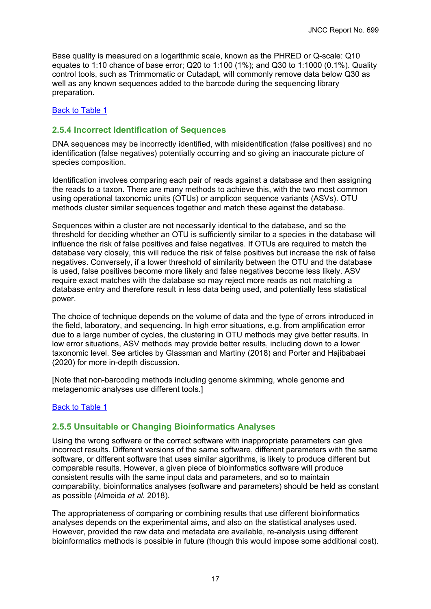Base quality is measured on a logarithmic scale, known as the PHRED or Q-scale: Q10 equates to 1:10 chance of base error; Q20 to 1:100 (1%); and Q30 to 1:1000 (0.1%). Quality control tools, such as Trimmomatic or Cutadapt, will commonly remove data below Q30 as well as any known sequences added to the barcode during the sequencing library preparation.

### [Back to Table 1](#page-8-0)

### **2.5.4 Incorrect Identification of Sequences**

DNA sequences may be incorrectly identified, with misidentification (false positives) and no identification (false negatives) potentially occurring and so giving an inaccurate picture of species composition.

Identification involves comparing each pair of reads against a database and then assigning the reads to a taxon. There are many methods to achieve this, with the two most common using operational taxonomic units (OTUs) or amplicon sequence variants (ASVs). OTU methods cluster similar sequences together and match these against the database.

<span id="page-20-0"></span>Sequences within a cluster are not necessarily identical to the database, and so the threshold for deciding whether an OTU is sufficiently similar to a species in the database will influence the risk of false positives and false negatives. If OTUs are required to match the database very closely, this will reduce the risk of false positives but increase the risk of false negatives. Conversely, if a lower threshold of similarity between the OTU and the database is used, false positives become more likely and false negatives become less likely. ASV require exact matches with the database so may reject more reads as not matching a database entry and therefore result in less data being used, and potentially less statistical power.

The choice of technique depends on the volume of data and the type of errors introduced in the field, laboratory, and sequencing. In high error situations, e.g. from amplification error due to a large number of cycles, the clustering in OTU methods may give better results. In low error situations, ASV methods may provide better results, including down to a lower taxonomic level. See articles by Glassman and Martiny (2018) and Porter and Hajibabaei (2020) for more in-depth discussion.

[Note that non-barcoding methods including genome skimming, whole genome and metagenomic analyses use different tools.]

### [Back to Table 1](#page-8-0)

### **2.5.5 Unsuitable or Changing Bioinformatics Analyses**

Using the wrong software or the correct software with inappropriate parameters can give incorrect results. Different versions of the same software, different parameters with the same software, or different software that uses similar algorithms, is likely to produce different but comparable results. However, a given piece of bioinformatics software will produce consistent results with the same input data and parameters, and so to maintain comparability, bioinformatics analyses (software and parameters) should be held as constant as possible (Almeida *et al.* 2018).

The appropriateness of comparing or combining results that use different bioinformatics analyses depends on the experimental aims, and also on the statistical analyses used. However, provided the raw data and metadata are available, re-analysis using different bioinformatics methods is possible in future (though this would impose some additional cost).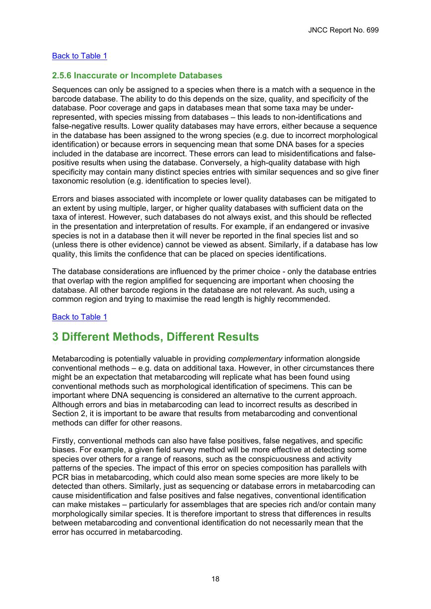### [Back to Table 1](#page-8-0)

### **2.5.6 Inaccurate or Incomplete Databases**

Sequences can only be assigned to a species when there is a match with a sequence in the barcode database. The ability to do this depends on the size, quality, and specificity of the database. Poor coverage and gaps in databases mean that some taxa may be underrepresented, with species missing from databases – this leads to non-identifications and false-negative results. Lower quality databases may have errors, either because a sequence in the database has been assigned to the wrong species (e.g. due to incorrect morphological identification) or because errors in sequencing mean that some DNA bases for a species included in the database are incorrect. These errors can lead to misidentifications and falsepositive results when using the database. Conversely, a high-quality database with high specificity may contain many distinct species entries with similar sequences and so give finer taxonomic resolution (e.g. identification to species level).

Errors and biases associated with incomplete or lower quality databases can be mitigated to an extent by using multiple, larger, or higher quality databases with sufficient data on the taxa of interest. However, such databases do not always exist, and this should be reflected in the presentation and interpretation of results. For example, if an endangered or invasive species is not in a database then it will never be reported in the final species list and so (unless there is other evidence) cannot be viewed as absent. Similarly, if a database has low quality, this limits the confidence that can be placed on species identifications.

The database considerations are influenced by the primer choice - only the database entries that overlap with the region amplified for sequencing are important when choosing the database. All other barcode regions in the database are not relevant. As such, using a common region and trying to maximise the read length is highly recommended.

### [Back to Table 1](#page-8-0)

# <span id="page-21-0"></span>**3 Different Methods, Different Results**

Metabarcoding is potentially valuable in providing *complementary* information alongside conventional methods – e.g. data on additional taxa. However, in other circumstances there might be an expectation that metabarcoding will replicate what has been found using conventional methods such as morphological identification of specimens. This can be important where DNA sequencing is considered an alternative to the current approach. Although errors and bias in metabarcoding can lead to incorrect results as described in Section 2, it is important to be aware that results from metabarcoding and conventional methods can differ for other reasons.

Firstly, conventional methods can also have false positives, false negatives, and specific biases. For example, a given field survey method will be more effective at detecting some species over others for a range of reasons, such as the conspicuousness and activity patterns of the species. The impact of this error on species composition has parallels with PCR bias in metabarcoding, which could also mean some species are more likely to be detected than others. Similarly, just as sequencing or database errors in metabarcoding can cause misidentification and false positives and false negatives, conventional identification can make mistakes – particularly for assemblages that are species rich and/or contain many morphologically similar species. It is therefore important to stress that differences in results between metabarcoding and conventional identification do not necessarily mean that the error has occurred in metabarcoding.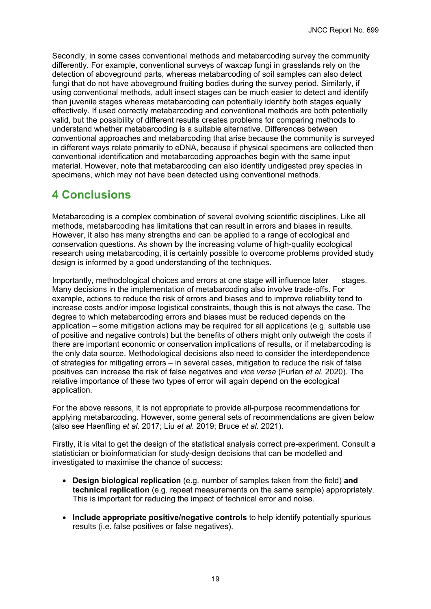Secondly, in some cases conventional methods and metabarcoding survey the community differently. For example, conventional surveys of waxcap fungi in grasslands rely on the detection of aboveground parts, whereas metabarcoding of soil samples can also detect fungi that do not have aboveground fruiting bodies during the survey period. Similarly, if using conventional methods, adult insect stages can be much easier to detect and identify than juvenile stages whereas metabarcoding can potentially identify both stages equally effectively. If used correctly metabarcoding and conventional methods are both potentially valid, but the possibility of different results creates problems for comparing methods to understand whether metabarcoding is a suitable alternative. Differences between conventional approaches and metabarcoding that arise because the community is surveyed in different ways relate primarily to eDNA, because if physical specimens are collected then conventional identification and metabarcoding approaches begin with the same input material. However, note that metabarcoding can also identify undigested prey species in specimens, which may not have been detected using conventional methods.

# <span id="page-22-0"></span>**4 Conclusions**

Metabarcoding is a complex combination of several evolving scientific disciplines. Like all methods, metabarcoding has limitations that can result in errors and biases in results. However, it also has many strengths and can be applied to a range of ecological and conservation questions. As shown by the increasing volume of high-quality ecological research using metabarcoding, it is certainly possible to overcome problems provided study design is informed by a good understanding of the techniques.

Importantly, methodological choices and errors at one stage will influence later stages. Many decisions in the implementation of metabarcoding also involve trade-offs. For example, actions to reduce the risk of errors and biases and to improve reliability tend to increase costs and/or impose logistical constraints, though this is not always the case. The degree to which metabarcoding errors and biases must be reduced depends on the application – some mitigation actions may be required for all applications (e.g. suitable use of positive and negative controls) but the benefits of others might only outweigh the costs if there are important economic or conservation implications of results, or if metabarcoding is the only data source. Methodological decisions also need to consider the interdependence of strategies for mitigating errors – in several cases, mitigation to reduce the risk of false positives can increase the risk of false negatives and *vice versa* (Furlan *et al.* 2020). The relative importance of these two types of error will again depend on the ecological application.

For the above reasons, it is not appropriate to provide all-purpose recommendations for applying metabarcoding. However, some general sets of recommendations are given below (also see Haenfling *et al.* 2017; Liu *et al.* 2019; Bruce *et al.* 2021).

Firstly, it is vital to get the design of the statistical analysis correct pre-experiment. Consult a statistician or bioinformatician for study-design decisions that can be modelled and investigated to maximise the chance of success:

- **Design biological replication** (e.g. number of samples taken from the field) **and technical replication** (e.g. repeat measurements on the same sample) appropriately. This is important for reducing the impact of technical error and noise.
- **Include appropriate positive/negative controls** to help identify potentially spurious results (i.e. false positives or false negatives).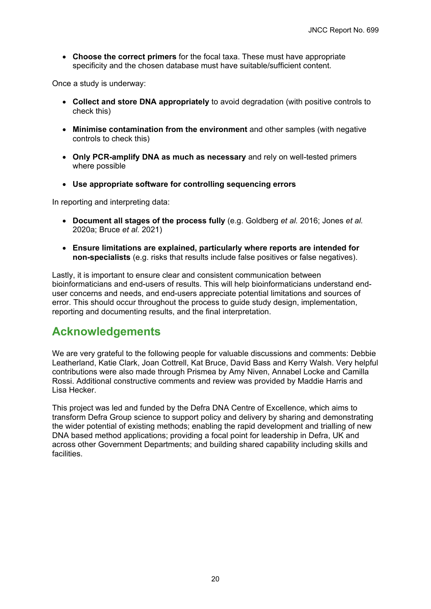• **Choose the correct primers** for the focal taxa. These must have appropriate specificity and the chosen database must have suitable/sufficient content.

Once a study is underway:

- **Collect and store DNA appropriately** to avoid degradation (with positive controls to check this)
- **Minimise contamination from the environment** and other samples (with negative controls to check this)
- **Only PCR-amplify DNA as much as necessary** and rely on well-tested primers where possible
- **Use appropriate software for controlling sequencing errors**

In reporting and interpreting data:

- **Document all stages of the process fully** (e.g. Goldberg *et al.* 2016; Jones *et al.* 2020a; Bruce *et al.* 2021)
- **Ensure limitations are explained, particularly where reports are intended for non-specialists** (e.g. risks that results include false positives or false negatives).

Lastly, it is important to ensure clear and consistent communication between bioinformaticians and end-users of results. This will help bioinformaticians understand enduser concerns and needs, and end-users appreciate potential limitations and sources of error. This should occur throughout the process to guide study design, implementation, reporting and documenting results, and the final interpretation.

# <span id="page-23-0"></span>**Acknowledgements**

We are very grateful to the following people for valuable discussions and comments: Debbie Leatherland, Katie Clark, Joan Cottrell, Kat Bruce, David Bass and Kerry Walsh. Very helpful contributions were also made through Prismea by Amy Niven, Annabel Locke and Camilla Rossi. Additional constructive comments and review was provided by Maddie Harris and Lisa Hecker.

This project was led and funded by the Defra DNA Centre of Excellence, which aims to transform Defra Group science to support policy and delivery by sharing and demonstrating the wider potential of existing methods; enabling the rapid development and trialling of new DNA based method applications; providing a focal point for leadership in Defra, UK and across other Government Departments; and building shared capability including skills and facilities.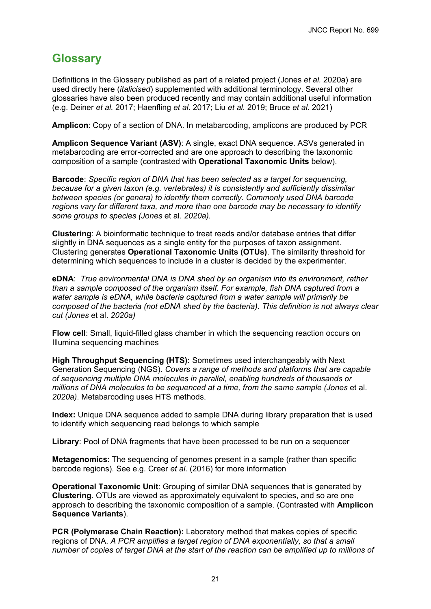# <span id="page-24-0"></span>**Glossary**

Definitions in the Glossary published as part of a related project (Jones *et al.* 2020a) are used directly here (*italicised*) supplemented with additional terminology. Several other glossaries have also been produced recently and may contain additional useful information (e.g. Deiner *et al.* 2017; Haenfling *et al.* 2017; Liu *et al.* 2019; Bruce *et al.* 2021)

**Amplicon**: Copy of a section of DNA. In metabarcoding, amplicons are produced by PCR

**Amplicon Sequence Variant (ASV)**: A single, exact DNA sequence. ASVs generated in metabarcoding are error-corrected and are one approach to describing the taxonomic composition of a sample (contrasted with **Operational Taxonomic Units** below).

**Barcode**: *Specific region of DNA that has been selected as a target for sequencing, because for a given taxon (e.g. vertebrates) it is consistently and sufficiently dissimilar between species (or genera) to identify them correctly. Commonly used DNA barcode regions vary for different taxa, and more than one barcode may be necessary to identify some groups to species (Jones* et al. *2020a).*

**Clustering**: A bioinformatic technique to treat reads and/or database entries that differ slightly in DNA sequences as a single entity for the purposes of taxon assignment. Clustering generates **Operational Taxonomic Units (OTUs)**. The similarity threshold for determining which sequences to include in a cluster is decided by the experimenter.

**eDNA**: *True environmental DNA is DNA shed by an organism into its environment, rather than a sample composed of the organism itself. For example, fish DNA captured from a water sample is eDNA, while bacteria captured from a water sample will primarily be composed of the bacteria (not eDNA shed by the bacteria). This definition is not always clear cut (Jones* et al. *2020a)*

**Flow cell**: Small, liquid-filled glass chamber in which the sequencing reaction occurs on Illumina sequencing machines

**High Throughput Sequencing (HTS):** Sometimes used interchangeably with Next Generation Sequencing (NGS). *Covers a range of methods and platforms that are capable of sequencing multiple DNA molecules in parallel, enabling hundreds of thousands or millions of DNA molecules to be sequenced at a time, from the same sample (Jones* et al. *2020a)*. Metabarcoding uses HTS methods.

**Index:** Unique DNA sequence added to sample DNA during library preparation that is used to identify which sequencing read belongs to which sample

**Library**: Pool of DNA fragments that have been processed to be run on a sequencer

**Metagenomics**: The sequencing of genomes present in a sample (rather than specific barcode regions). See e.g. Creer *et al.* (2016) for more information

**Operational Taxonomic Unit**: Grouping of similar DNA sequences that is generated by **Clustering**. OTUs are viewed as approximately equivalent to species, and so are one approach to describing the taxonomic composition of a sample. (Contrasted with **Amplicon Sequence Variants**).

**PCR (Polymerase Chain Reaction):** Laboratory method that makes copies of specific regions of DNA. *A PCR amplifies a target region of DNA exponentially, so that a small number of copies of target DNA at the start of the reaction can be amplified up to millions of*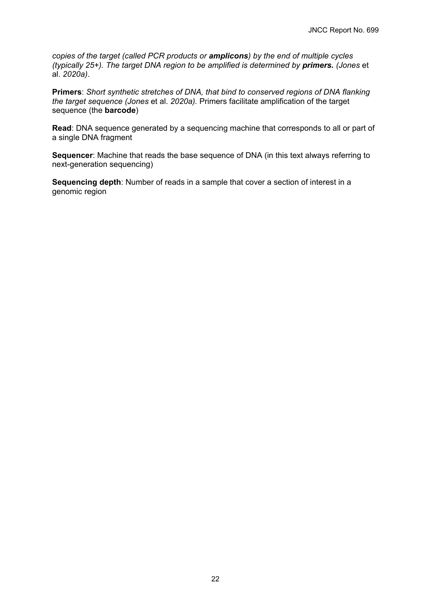*copies of the target (called PCR products or amplicons) by the end of multiple cycles (typically 25+). The target DNA region to be amplified is determined by primers. (Jones* et al. *2020a)*.

**Primers**: *Short synthetic stretches of DNA, that bind to conserved regions of DNA flanking the target sequence (Jones* et al. *2020a).* Primers facilitate amplification of the target sequence (the **barcode**)

**Read**: DNA sequence generated by a sequencing machine that corresponds to all or part of a single DNA fragment

**Sequencer**: Machine that reads the base sequence of DNA (in this text always referring to next-generation sequencing)

**Sequencing depth**: Number of reads in a sample that cover a section of interest in a genomic region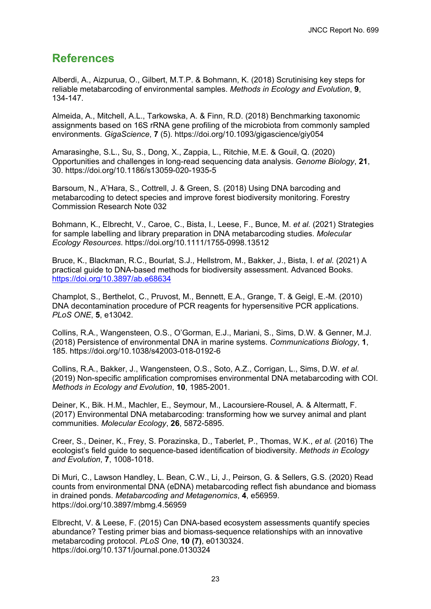## <span id="page-26-0"></span>**References**

Alberdi, A., Aizpurua, O., Gilbert, M.T.P. & Bohmann, K. (2018) Scrutinising key steps for reliable metabarcoding of environmental samples. *Methods in Ecology and Evolution*, **9**, 134-147.

Almeida, A., Mitchell, A.L., Tarkowska, A. & Finn, R.D. (2018) Benchmarking taxonomic assignments based on 16S rRNA gene profiling of the microbiota from commonly sampled environments. *GigaScience*, **7** (5). https://doi.org/10.1093/gigascience/giy054

Amarasinghe, S.L., Su, S., Dong, X., Zappia, L., Ritchie, M.E. & Gouil, Q. (2020) Opportunities and challenges in long-read sequencing data analysis. *Genome Biology*, **21**, 30. https://doi.org/10.1186/s13059-020-1935-5

Barsoum, N., A'Hara, S., Cottrell, J. & Green, S. (2018) Using DNA barcoding and metabarcoding to detect species and improve forest biodiversity monitoring. Forestry Commission Research Note 032

Bohmann, K., Elbrecht, V., Caroe, C., Bista, I., Leese, F., Bunce, M. *et al.* (2021) Strategies for sample labelling and library preparation in DNA metabarcoding studies. *Molecular Ecology Resources*. https://doi.org/10.1111/1755-0998.13512

Bruce, K., Blackman, R.C., Bourlat, S.J., Hellstrom, M., Bakker, J., Bista, I. *et al.* (2021) A practical guide to DNA-based methods for biodiversity assessment. Advanced Books. <https://doi.org/10.3897/ab.e68634>

Champlot, S., Berthelot, C., Pruvost, M., Bennett, E.A., Grange, T. & Geigl, E.-M. (2010) DNA decontamination procedure of PCR reagents for hypersensitive PCR applications. *PLoS ONE*, **5**, e13042.

Collins, R.A., Wangensteen, O.S., O'Gorman, E.J., Mariani, S., Sims, D.W. & Genner, M.J. (2018) Persistence of environmental DNA in marine systems. *Communications Biology*, **1**, 185. https://doi.org/10.1038/s42003-018-0192-6

Collins, R.A., Bakker, J., Wangensteen, O.S., Soto, A.Z., Corrigan, L., Sims, D.W. *et al.* (2019) Non-specific amplification compromises environmental DNA metabarcoding with COI. *Methods in Ecology and Evolution*, **10**, 1985-2001.

Deiner, K., Bik. H.M., Machler, E., Seymour, M., Lacoursiere-Rousel, A. & Altermatt, F. (2017) Environmental DNA metabarcoding: transforming how we survey animal and plant communities. *Molecular Ecology*, **26**, 5872-5895.

Creer, S., Deiner, K., Frey, S. Porazinska, D., Taberlet, P., Thomas, W.K., *et al.* (2016) The ecologist's field guide to sequence-based identification of biodiversity. *Methods in Ecology and Evolution*, **7**, 1008-1018.

Di Muri, C., Lawson Handley, L. Bean, C.W., Li, J., Peirson, G. & Sellers, G.S. (2020) Read counts from environmental DNA (eDNA) metabarcoding reflect fish abundance and biomass in drained ponds. *Metabarcoding and Metagenomics*, **4**, e56959. https://doi.org/10.3897/mbmg.4.56959

Elbrecht, V. & Leese, F. (2015) Can DNA-based ecosystem assessments quantify species abundance? Testing primer bias and biomass-sequence relationships with an innovative metabarcoding protocol. *PLoS One*, **10 (7)**, e0130324. https://doi.org/10.1371/journal.pone.0130324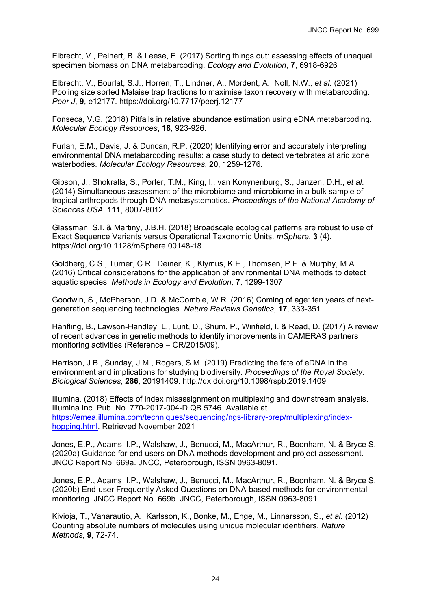Elbrecht, V., Peinert, B. & Leese, F. (2017) Sorting things out: assessing effects of unequal specimen biomass on DNA metabarcoding. *Ecology and Evolution*, **7**, 6918-6926

Elbrecht, V., Bourlat, S.J., Horren, T., Lindner, A., Mordent, A., Noll, N.W., *et al*. (2021) Pooling size sorted Malaise trap fractions to maximise taxon recovery with metabarcoding. *Peer J*, **9**, e12177. https://doi.org/10.7717/peerj.12177

Fonseca, V.G. (2018) Pitfalls in relative abundance estimation using eDNA metabarcoding. *Molecular Ecology Resources*, **18**, 923-926.

Furlan, E.M., Davis, J. & Duncan, R.P. (2020) Identifying error and accurately interpreting environmental DNA metabarcoding results: a case study to detect vertebrates at arid zone waterbodies. *Molecular Ecology Resources*, **20**, 1259-1276.

Gibson, J., Shokralla, S., Porter, T.M., King, I., van Konynenburg, S., Janzen, D.H., *et al*. (2014) Simultaneous assessment of the microbiome and microbiome in a bulk sample of tropical arthropods through DNA metasystematics. *Proceedings of the National Academy of Sciences USA*, **111**, 8007-8012.

Glassman, S.I. & Martiny, J.B.H. (2018) Broadscale ecological patterns are robust to use of Exact Sequence Variants versus Operational Taxonomic Units. *mSphere*, **3** (4). https://doi.org/10.1128/mSphere.00148-18

Goldberg, C.S., Turner, C.R., Deiner, K., Klymus, K.E., Thomsen, P.F. & Murphy, M.A. (2016) Critical considerations for the application of environmental DNA methods to detect aquatic species. *Methods in Ecology and Evolution*, **7**, 1299-1307

Goodwin, S., McPherson, J.D. & McCombie, W.R. (2016) Coming of age: ten years of nextgeneration sequencing technologies. *Nature Reviews Genetics*, **17**, 333-351.

Hänfling, B., Lawson-Handley, L., Lunt, D., Shum, P., Winfield, I. & Read, D. (2017) A review of recent advances in genetic methods to identify improvements in CAMERAS partners monitoring activities (Reference – CR/2015/09).

Harrison, J.B., Sunday, J.M., Rogers, S.M. (2019) Predicting the fate of eDNA in the environment and implications for studying biodiversity. *Proceedings of the Royal Society: Biological Sciences*, **286**, 20191409. http://dx.doi.org/10.1098/rspb.2019.1409

Illumina. (2018) Effects of index misassignment on multiplexing and downstream analysis. Illumina Inc. Pub. No. 770-2017-004-D QB 5746. Available at [https://emea.illumina.com/techniques/sequencing/ngs-library-prep/multiplexing/index](https://emea.illumina.com/techniques/sequencing/ngs-library-prep/multiplexing/index-hopping.html)[hopping.html.](https://emea.illumina.com/techniques/sequencing/ngs-library-prep/multiplexing/index-hopping.html) Retrieved November 2021

Jones, E.P., Adams, I.P., Walshaw, J., Benucci, M., MacArthur, R., Boonham, N. & Bryce S. (2020a) Guidance for end users on DNA methods development and project assessment. JNCC Report No. 669a. JNCC, Peterborough, ISSN 0963-8091.

Jones, E.P., Adams, I.P., Walshaw, J., Benucci, M., MacArthur, R., Boonham, N. & Bryce S. (2020b) End-user Frequently Asked Questions on DNA-based methods for environmental monitoring. JNCC Report No. 669b. JNCC, Peterborough, ISSN 0963-8091.

Kivioja, T., Vaharautio, A., Karlsson, K., Bonke, M., Enge, M., Linnarsson, S., *et al.* (2012) Counting absolute numbers of molecules using unique molecular identifiers. *Nature Methods*, **9**, 72-74.